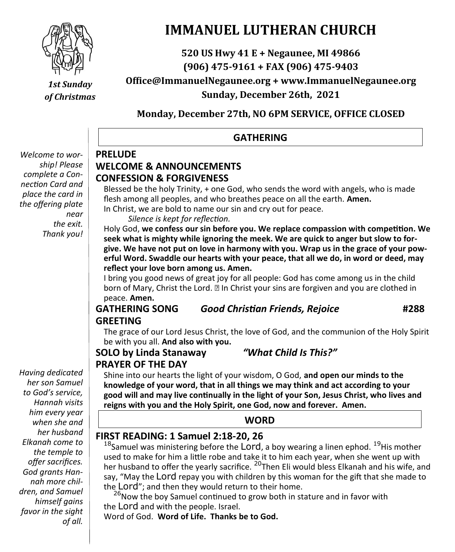

# *1st Sunday of Christmas*

# **IMMANUEL LUTHERAN CHURCH**

**520 US Hwy 41 E + Negaunee, MI 49866 (906) 475-9161 + FAX (906) 475-9403 Office@ImmanuelNegaunee.org + www.ImmanuelNegaunee.org Sunday, December 26th, 2021**

**Monday, December 27th, NO 6PM SERVICE, OFFICE CLOSED**

# **GATHERING**

#### *Welcome to worship! Please complete a Connection Card and place the card in the offering plate near the exit. Thank you!*

### **PRELUDE WELCOME & ANNOUNCEMENTS CONFESSION & FORGIVENESS**

Blessed be the holy Trinity, + one God, who sends the word with angels, who is made flesh among all peoples, and who breathes peace on all the earth. **Amen.**

In Christ, we are bold to name our sin and cry out for peace.

*Silence is kept for reflection.*

Holy God, **we confess our sin before you. We replace compassion with competition. We seek what is mighty while ignoring the meek. We are quick to anger but slow to forgive. We have not put on love in harmony with you. Wrap us in the grace of your powerful Word. Swaddle our hearts with your peace, that all we do, in word or deed, may reflect your love born among us. Amen.**

I bring you good news of great joy for all people: God has come among us in the child born of Mary, Christ the Lord. and Christ your sins are forgiven and you are clothed in peace. **Amen.**

## **GATHERING SONG** *Good Christian Friends, Rejoice* **#288 GREETING**

The grace of our Lord Jesus Christ, the love of God, and the communion of the Holy Spirit be with you all. **And also with you.**

# **SOLO by Linda Stanaway** *"What Child Is This?"* **PRAYER OF THE DAY**

Shine into our hearts the light of your wisdom, O God, **and open our minds to the knowledge of your word, that in all things we may think and act according to your good will and may live continually in the light of your Son, Jesus Christ, who lives and** 

**reigns with you and the Holy Spirit, one God, now and forever. Amen.**

### **WORD**

# **FIRST READING: 1 Samuel 2:18-20, 26**

 $18$ Samuel was ministering before the LOrd, a boy wearing a linen ephod.  $19$ His mother used to make for him a little robe and take it to him each year, when she went up with her husband to offer the yearly sacrifice. <sup>20</sup>Then Eli would bless Elkanah and his wife, and say, "May the Lord repay you with children by this woman for the gift that she made to the Lord"; and then they would return to their home.

<sup>26</sup>Now the boy Samuel continued to grow both in stature and in favor with the Lord and with the people. Israel.

Word of God. **Word of Life. Thanks be to God.**

*Having dedicated her son Samuel to God's service, Hannah visits him every year when she and her husband Elkanah come to the temple to offer sacrifices. God grants Hannah more children, and Samuel himself gains favor in the sight of all.*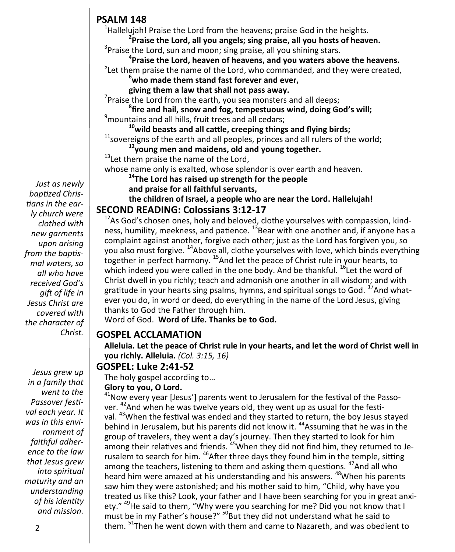# **PSALM 148**

<sup>1</sup>Hallelujah! Praise the Lord from the heavens; praise God in the heights.

**2 Praise the Lord, all you angels; sing praise, all you hosts of heaven.** <sup>3</sup>Praise the Lord, sun and moon; sing praise, all you shining stars.

**4 Praise the Lord, heaven of heavens, and you waters above the heavens.**  $5$ Let them praise the name of the Lord, who commanded, and they were created,

**<sup>6</sup>who made them stand fast forever and ever,** 

**giving them a law that shall not pass away.**

 $7$ Praise the Lord from the earth, you sea monsters and all deeps;

**8 fire and hail, snow and fog, tempestuous wind, doing God's will;** <sup>9</sup>mountains and all hills, fruit trees and all cedars;

**<sup>10</sup>wild beasts and all cattle, creeping things and flying birds;**

 $11$ sovereigns of the earth and all peoples, princes and all rulers of the world;

**<sup>12</sup>young men and maidens, old and young together.**

<sup>13</sup>Let them praise the name of the Lord,

whose name only is exalted, whose splendor is over earth and heaven.

**<sup>14</sup>The Lord has raised up strength for the people** 

**and praise for all faithful servants,**

**the children of Israel, a people who are near the Lord. Hallelujah! SECOND READING: Colossians 3:12-17**

#### $12$ As God's chosen ones, holy and beloved, clothe yourselves with compassion, kindness, humility, meekness, and patience.  $^{13}$ Bear with one another and, if anyone has a complaint against another, forgive each other; just as the Lord has forgiven you, so you also must forgive. <sup>14</sup>Above all, clothe yourselves with love, which binds everything together in perfect harmony. <sup>15</sup>And let the peace of Christ rule in your hearts, to which indeed you were called in the one body. And be thankful.  $^{16}$  Let the word of Christ dwell in you richly; teach and admonish one another in all wisdom; and with gratitude in your hearts sing psalms, hymns, and spiritual songs to God. <sup>17</sup>And whatever you do, in word or deed, do everything in the name of the Lord Jesus, giving thanks to God the Father through him.

Word of God. **Word of Life. Thanks be to God.** 

## **GOSPEL ACCLAMATION**

**Alleluia. Let the peace of Christ rule in your hearts, and let the word of Christ well in you richly. Alleluia.** *(Col. 3:15, 16)* 

## **GOSPEL: Luke 2:41-52**

The holy gospel according to…

### **Glory to you, O Lord.**

 $41$ Now every year [Jesus'] parents went to Jerusalem for the festival of the Passover. <sup>42</sup>And when he was twelve years old, they went up as usual for the festival. <sup>43</sup>When the festival was ended and they started to return, the boy Jesus stayed behind in Jerusalem, but his parents did not know it. <sup>44</sup>Assuming that he was in the group of travelers, they went a day's journey. Then they started to look for him among their relatives and friends. <sup>45</sup> When they did not find him, they returned to Jerusalem to search for him. <sup>46</sup>After three days they found him in the temple, sitting among the teachers, listening to them and asking them questions. <sup>47</sup>And all who heard him were amazed at his understanding and his answers. <sup>48</sup>When his parents saw him they were astonished; and his mother said to him, "Child, why have you treated us like this? Look, your father and I have been searching for you in great anxiety." <sup>49</sup>He said to them, "Why were you searching for me? Did you not know that I must be in my Father's house?" <sup>50</sup>But they did not understand what he said to them. <sup>51</sup>Then he went down with them and came to Nazareth, and was obedient to

*Just as newly baptized Christians in the early church were clothed with new garments upon arising from the baptismal waters, so all who have received God's gift of life in Jesus Christ are covered with the character of Christ.*

*Jesus grew up in a family that went to the Passover festival each year. It was in this environment of faithful adherence to the law that Jesus grew into spiritual maturity and an understanding of his identity and mission.*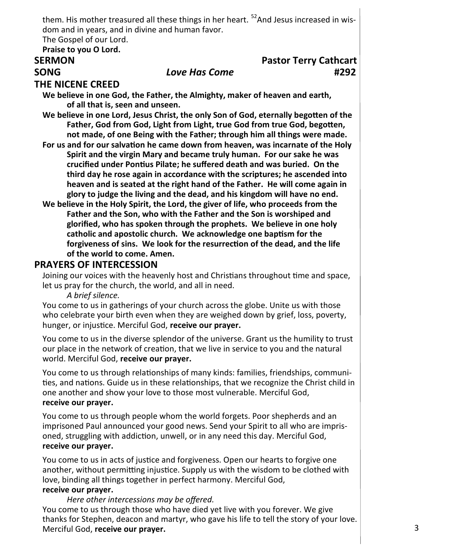them. His mother treasured all these things in her heart.  $52$  And Jesus increased in wisdom and in years, and in divine and human favor.

The Gospel of our Lord.

#### **Praise to you O Lord.**

# **SERMON Pastor Terry Cathcart SONG** *Love Has Come* **#292**

#### **THE NICENE CREED**

**We believe in one God, the Father, the Almighty, maker of heaven and earth, of all that is, seen and unseen.**

**We believe in one Lord, Jesus Christ, the only Son of God, eternally begotten of the Father, God from God, Light from Light, true God from true God, begotten, not made, of one Being with the Father; through him all things were made.** 

- **For us and for our salvation he came down from heaven, was incarnate of the Holy Spirit and the virgin Mary and became truly human. For our sake he was crucified under Pontius Pilate; he suffered death and was buried. On the third day he rose again in accordance with the scriptures; he ascended into heaven and is seated at the right hand of the Father. He will come again in glory to judge the living and the dead, and his kingdom will have no end.**
- **We believe in the Holy Spirit, the Lord, the giver of life, who proceeds from the Father and the Son, who with the Father and the Son is worshiped and glorified, who has spoken through the prophets. We believe in one holy catholic and apostolic church. We acknowledge one baptism for the forgiveness of sins. We look for the resurrection of the dead, and the life of the world to come. Amen.**

#### **PRAYERS OF INTERCESSION**

Joining our voices with the heavenly host and Christians throughout time and space, let us pray for the church, the world, and all in need.

*A brief silence.*

You come to us in gatherings of your church across the globe. Unite us with those who celebrate your birth even when they are weighed down by grief, loss, poverty, hunger, or injustice. Merciful God, **receive our prayer.**

You come to us in the diverse splendor of the universe. Grant us the humility to trust our place in the network of creation, that we live in service to you and the natural world. Merciful God, **receive our prayer.**

You come to us through relationships of many kinds: families, friendships, communities, and nations. Guide us in these relationships, that we recognize the Christ child in one another and show your love to those most vulnerable. Merciful God, **receive our prayer.**

You come to us through people whom the world forgets. Poor shepherds and an imprisoned Paul announced your good news. Send your Spirit to all who are imprisoned, struggling with addiction, unwell, or in any need this day. Merciful God, **receive our prayer.**

You come to us in acts of justice and forgiveness. Open our hearts to forgive one another, without permitting injustice. Supply us with the wisdom to be clothed with love, binding all things together in perfect harmony. Merciful God,

#### **receive our prayer.**

*Here other intercessions may be offered.*

You come to us through those who have died yet live with you forever. We give thanks for Stephen, deacon and martyr, who gave his life to tell the story of your love. Merciful God, **receive our prayer.**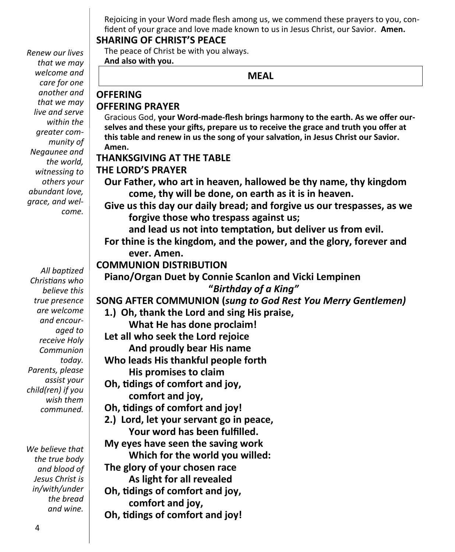Rejoicing in your Word made flesh among us, we commend these prayers to you, confident of your grace and love made known to us in Jesus Christ, our Savior. **Amen.**

### **SHARING OF CHRIST'S PEACE**

The peace of Christ be with you always. **And also with you.**

### **MEAL**

# **OFFERING PRAYER**

**OFFERING**

Gracious God, **your Word-made-flesh brings harmony to the earth. As we offer ourselves and these your gifts, prepare us to receive the grace and truth you offer at this table and renew in us the song of your salvation, in Jesus Christ our Savior. Amen.**

## **THANKSGIVING AT THE TABLE THE LORD'S PRAYER**

**Our Father, who art in heaven, hallowed be thy name, thy kingdom come, thy will be done, on earth as it is in heaven.**

**Give us this day our daily bread; and forgive us our trespasses, as we forgive those who trespass against us;**

**and lead us not into temptation, but deliver us from evil.**

**For thine is the kingdom, and the power, and the glory, forever and ever. Amen.**

# **COMMUNION DISTRIBUTION**

**Piano/Organ Duet by Connie Scanlon and Vicki Lempinen "***Birthday of a King"*

**SONG AFTER COMMUNION (***sung to God Rest You Merry Gentlemen)*

**1.) Oh, thank the Lord and sing His praise,**

**What He has done proclaim!**

**Let all who seek the Lord rejoice**

**And proudly bear His name**

- **Who leads His thankful people forth His promises to claim**
- **Oh, tidings of comfort and joy, comfort and joy,**

**Oh, tidings of comfort and joy!**

**2.) Lord, let your servant go in peace, Your word has been fulfilled.**

**My eyes have seen the saving work**

**Which for the world you willed:**

**The glory of your chosen race As light for all revealed**

**Oh, tidings of comfort and joy,**

**comfort and joy,**

**Oh, tidings of comfort and joy!**

*Renew our lives that we may welcome and care for one another and that we may live and serve within the greater community of Negaunee and the world, witnessing to others your abundant love, grace, and welcome.*

*All baptized Christians who believe this true presence are welcome and encouraged to receive Holy Communion today. Parents, please assist your child(ren) if you wish them communed.*

*We believe that the true body and blood of Jesus Christ is in/with/under the bread and wine.*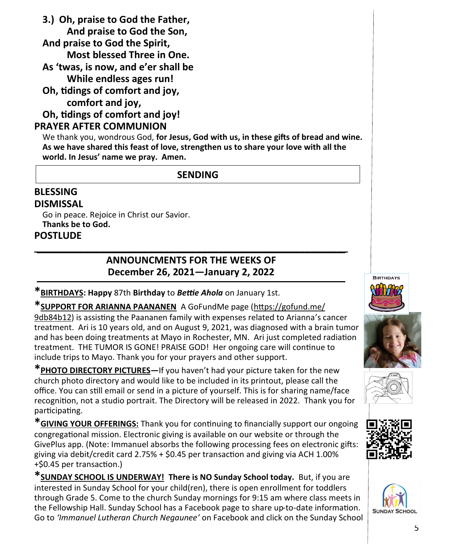**3.) Oh, praise to God the Father, And praise to God the Son, And praise to God the Spirit, Most blessed Three in One. As 'twas, is now, and e'er shall be While endless ages run! Oh, tidings of comfort and joy, comfort and joy, Oh, tidings of comfort and joy!**

### **PRAYER AFTER COMMUNION**

We thank you, wondrous God, **for Jesus, God with us, in these gifts of bread and wine. As we have shared this feast of love, strengthen us to share your love with all the world. In Jesus' name we pray. Amen.**

# **SENDING**

#### **BLESSING DISMISSAL**

Go in peace. Rejoice in Christ our Savior. **Thanks be to God. POSTLUDE**

# **\_\_\_\_\_\_\_\_\_\_\_\_\_\_\_\_\_\_\_\_\_\_\_\_\_\_\_\_\_\_\_\_\_\_\_\_\_\_\_\_\_\_\_\_\_\_\_\_\_\_\_\_\_\_\_\_\_\_ ANNOUNCMENTS FOR THE WEEKS OF December 26, 2021—January 2, 2022**

**\*BIRTHDAYS: Happy** 87th **Birthday** to *Bettie Ahola* on January 1st.

**\*SUPPORT FOR ARIANNA PAANANEN** A GoFundMe page [\(https://gofund.me/](https://gofund.me/9db84b12)  [9db84b12\)](https://gofund.me/9db84b12) is assisting the Paananen family with expenses related to Arianna's cancer treatment. Ari is 10 years old, and on August 9, 2021, was diagnosed with a brain tumor and has been doing treatments at Mayo in Rochester, MN. Ari just completed radiation treatment. THE TUMOR IS GONE! PRAISE GOD! Her ongoing care will continue to include trips to Mayo. Thank you for your prayers and other support.

**\*PHOTO DIRECTORY PICTURES—**If you haven't had your picture taken for the new church photo directory and would like to be included in its printout, please call the office. You can still email or send in a picture of yourself. This is for sharing name/face recognition, not a studio portrait. The Directory will be released in 2022. Thank you for participating.

**\*GIVING YOUR OFFERINGS:** Thank you for continuing to financially support our ongoing congregational mission. Electronic giving is available on our website or through the GivePlus app. (Note: Immanuel absorbs the following processing fees on electronic gifts: giving via debit/credit card 2.75% + \$0.45 per transaction and giving via ACH 1.00% +\$0.45 per transaction.)

**\*SUNDAY SCHOOL IS UNDERWAY! There is NO Sunday School today.** But, if you are interested in Sunday School for your child(ren), there is open enrollment for toddlers through Grade 5. Come to the church Sunday mornings for 9:15 am where class meets in the Fellowship Hall. Sunday School has a Facebook page to share up-to-date information. Go to *'Immanuel Lutheran Church Negaunee'* on Facebook and click on the Sunday School







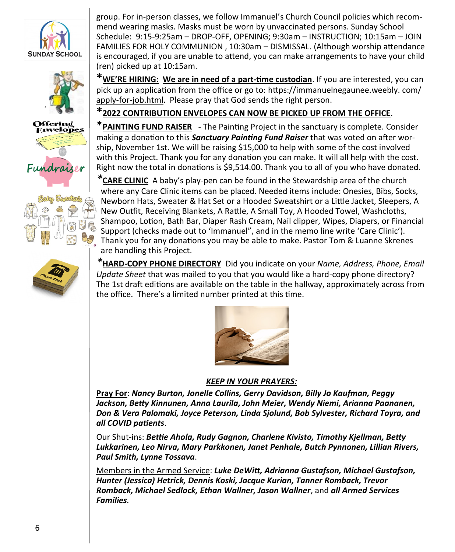









group. For in-person classes, we follow Immanuel's Church Council policies which recommend wearing masks. Masks must be worn by unvaccinated persons. Sunday School Schedule: 9:15-9:25am – DROP-OFF, OPENING; 9:30am – INSTRUCTION; 10:15am – JOIN FAMILIES FOR HOLY COMMUNION , 10:30am – DISMISSAL. (Although worship attendance is encouraged, if you are unable to attend, you can make arrangements to have your child (ren) picked up at 10:15am.

**\*WE'RE HIRING: We are in need of a part-time custodian**. If you are interested, you can pick up an application from the office or go to: [https://immanuelnegaunee.weebly. com/](https://immanuelnegaunee.weebly.com/apply-for-job.html) apply-for-[job.html.](https://immanuelnegaunee.weebly.com/apply-for-job.html) Please pray that God sends the right person.

# **\*2022 CONTRIBUTION ENVELOPES CAN NOW BE PICKED UP FROM THE OFFICE**.

\***PAINTING FUND RAISER** - The Painting Project in the sanctuary is complete. Consider making a donation to this *Sanctuary Painting Fund Raiser* that was voted on after worship, November 1st. We will be raising \$15,000 to help with some of the cost involved with this Project. Thank you for any donation you can make. It will all help with the cost. Right now the total in donations is \$9,514.00. Thank you to all of you who have donated.

*\****CARE CLINIC** A baby's play-pen can be found in the Stewardship area of the church where any Care Clinic items can be placed. Needed items include: Onesies, Bibs, Socks, Newborn Hats, Sweater & Hat Set or a Hooded Sweatshirt or a Little Jacket, Sleepers, A New Outfit, Receiving Blankets, A Rattle, A Small Toy, A Hooded Towel, Washcloths, Shampoo, Lotion, Bath Bar, Diaper Rash Cream, Nail clipper, Wipes, Diapers, or Financial Support (checks made out to 'Immanuel", and in the memo line write 'Care Clinic'). Thank you for any donations you may be able to make. Pastor Tom & Luanne Skrenes are handling this Project.

*\****HARD-COPY PHONE DIRECTORY** Did you indicate on your *Name, Address, Phone, Email Update Sheet* that was mailed to you that you would like a hard-copy phone directory? The 1st draft editions are available on the table in the hallway, approximately across from the office. There's a limited number printed at this time.



#### *KEEP IN YOUR PRAYERS:*

**Pray For**: *Nancy Burton, Jonelle Collins, Gerry Davidson, Billy Jo Kaufman, Peggy Jackson, Betty Kinnunen, Anna Laurila, John Meier, Wendy Niemi, Arianna Paananen, Don & Vera Palomaki, Joyce Peterson, Linda Sjolund, Bob Sylvester, Richard Toyra, and all COVID patients*.

Our Shut-ins: *Bettie Ahola, Rudy Gagnon, Charlene Kivisto, Timothy Kjellman, Betty Lukkarinen, Leo Nirva, Mary Parkkonen, Janet Penhale, Butch Pynnonen, Lillian Rivers, Paul Smith, Lynne Tossava*.

Members in the Armed Service: *Luke DeWitt, Adrianna Gustafson, Michael Gustafson, Hunter (Jessica) Hetrick, Dennis Koski, Jacque Kurian, Tanner Romback, Trevor Romback, Michael Sedlock, Ethan Wallner, Jason Wallner*, and *all Armed Services Families.*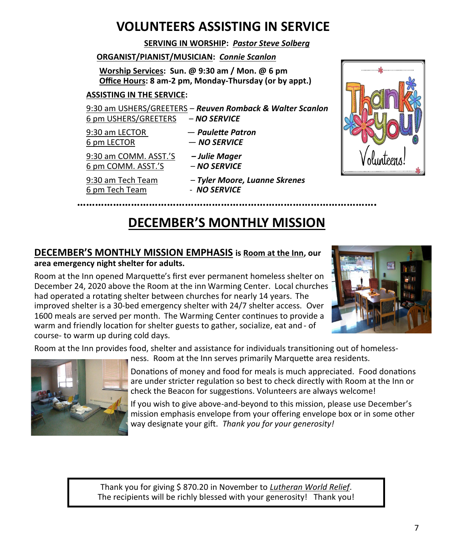# **VOLUNTEERS ASSISTING IN SERVICE**

#### **SERVING IN WORSHIP:** *Pastor Steve Solberg*

#### **ORGANIST/PIANIST/MUSICIAN:** *Connie Scanlon*

**Worship Services: Sun. @ 9:30 am / Mon. @ 6 pm Office Hours: 8 am-2 pm, Monday-Thursday (or by appt.)**

#### **ASSISTING IN THE SERVICE:**

9:30 am USHERS/GREETERS – *Reuven Romback & Walter Scanlon* 6 pm USHERS/GREETERS – *NO SERVICE*

9:30 am LECTOR — *Paulette Patron* 6 pm LECTOR — *NO SERVICE*

9:30 am COMM. ASST.'S *– Julie Mager* 6 pm COMM. ASST.'S – *NO SERVICE*

9:30 am Tech Team – *Tyler Moore, Luanne Skrenes*





# **DECEMBER'S MONTHLY MISSION**

**……………………………………………………………………………………….**

#### **DECEMBER'S MONTHLY MISSION EMPHASIS is Room at the Inn, our area emergency night shelter for adults.**

Room at the Inn opened Marquette's first ever permanent homeless shelter on December 24, 2020 above the Room at the inn Warming Center. Local churches had operated a rotating shelter between churches for nearly 14 years. The improved shelter is a 30-bed emergency shelter with 24/7 shelter access. Over 1600 meals are served per month. The Warming Center continues to provide a warm and friendly location for shelter guests to gather, socialize, eat and - of course- to warm up during cold days.



Room at the Inn provides food, shelter and assistance for individuals transitioning out of homeless-



ness. Room at the Inn serves primarily Marquette area residents.

Donations of money and food for meals is much appreciated. Food donations are under stricter regulation so best to check directly with Room at the Inn or check the Beacon for suggestions. Volunteers are always welcome!

If you wish to give above-and-beyond to this mission, please use December's mission emphasis envelope from your offering envelope box or in some other way designate your gift. *Thank you for your generosity!* 

Thank you for giving \$ 870.20 in November to *Lutheran World Relief*. The recipients will be richly blessed with your generosity! Thank you!